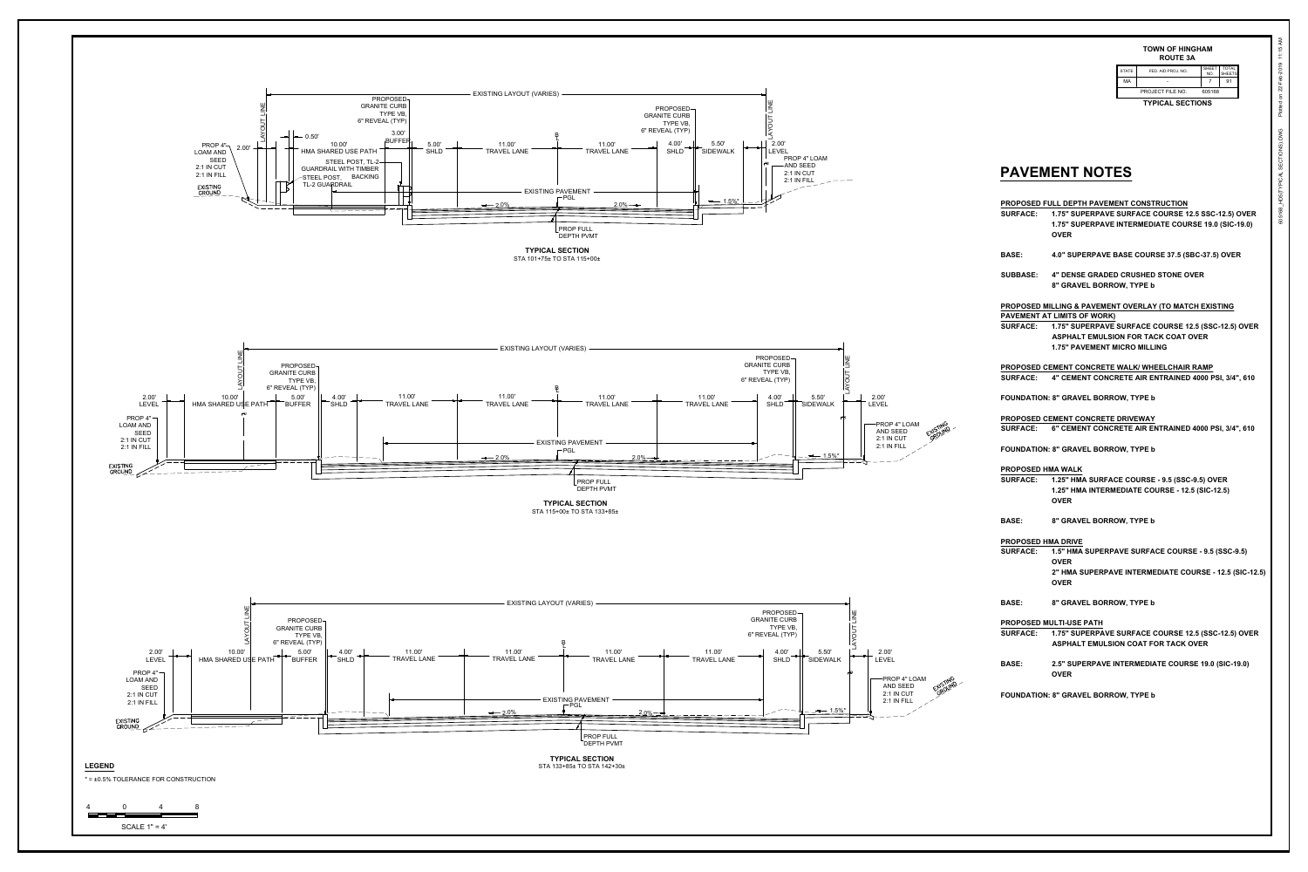

**TYPICAL SECTIONS**

605168\_HD5(TYPICAL SECTIONS).DWG 22-Feb-2019 11:15 AM Plotted on

| <b>APATIAUA</b><br>TVINIA AI      |                    |                     |                               |
|-----------------------------------|--------------------|---------------------|-------------------------------|
| <b>PROJECT FILE NO.</b><br>605168 |                    |                     |                               |
| МA                                | -                  |                     | 91                            |
| <b>STATE</b>                      | FED. AID PROJ. NO. | <b>SHEET</b><br>NO. | <b>TOTAL</b><br><b>SHEETS</b> |
|                                   |                    |                     |                               |

## **TOWN OF HINGHAM ROUTE 3A**

## **PAVEMENT NOTES**

**PROPOSED FULL DEPTH PAVEMENT CONSTRUCTION SURFACE: 1.75" SUPERPAVE SURFACE COURSE 12.5 SSC-12.5) OVER 1.75" SUPERPAVE INTERMEDIATE COURSE 19.0 (SIC-19.0) OVER**

**BASE: 4.0" SUPERPAVE BASE COURSE 37.5 (SBC-37.5) OVER**

**SUBBASE: 4" DENSE GRADED CRUSHED STONE OVER 8" GRAVEL BORROW, TYPE b**

**PROPOSED MILLING & PAVEMENT OVERLAY (TO MATCH EXISTING PAVEMENT AT LIMITS OF WORK) SURFACE: 1.75" SUPERPAVE SURFACE COURSE 12.5 (SSC-12.5) OVER ASPHALT EMULSION FOR TACK COAT OVER 1.75" PAVEMENT MICRO MILLING**

**PROPOSED CEMENT CONCRETE WALK/ WHEELCHAIR RAMP SURFACE: 4" CEMENT CONCRETE AIR ENTRAINED 4000 PSI, 3/4", 610**

**FOUNDATION: 8" GRAVEL BORROW, TYPE b**

**PROPOSED CEMENT CONCRETE DRIVEWAY SURFACE: 6" CEMENT CONCRETE AIR ENTRAINED 4000 PSI, 3/4", 610**

**FOUNDATION: 8" GRAVEL BORROW, TYPE b**

**PROPOSED HMA WALK SURFACE: 1.25" HMA SURFACE COURSE - 9.5 (SSC-9.5) OVER 1.25" HMA INTERMEDIATE COURSE - 12.5 (SIC-12.5)** 

**OVER**

**BASE: 8" GRAVEL BORROW, TYPE b**

**PROPOSED HMA DRIVE**

**SURFACE: 1.5" HMA SUPERPAVE SURFACE COURSE - 9.5 (SSC-9.5) OVER 2" HMA SUPERPAVE INTERMEDIATE COURSE - 12.5 (SIC-12.5) OVER**

**BASE: 8" GRAVEL BORROW, TYPE b**

**PROPOSED MULTI-USE PATH SURFACE: 1.75" SUPERPAVE SURFACE COURSE 12.5 (SSC-12.5) OVER ASPHALT EMULSION COAT FOR TACK OVER**

**BASE: 2.5" SUPERPAVE INTERMEDIATE COURSE 19.0 (SIC-19.0) OVER**

**FOUNDATION: 8" GRAVEL BORROW, TYPE b**